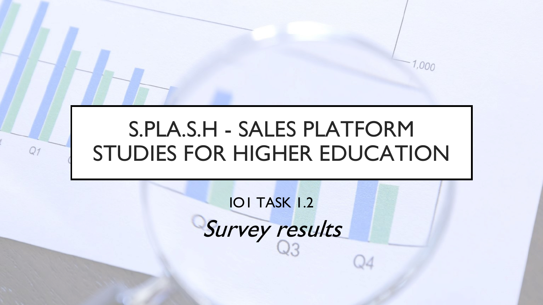# S.PLA.S.H - SALES PLATFORM STUDIES FOR HIGHER EDUCATION

 $Q_1$ 

1,000

IO1 TASK 1.2 Survey results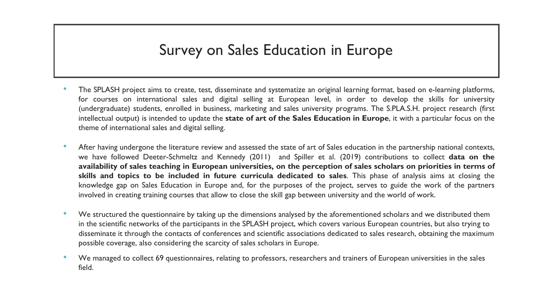# Survey on Sales Education in Europe

- The SPLASH project aims to create, test, disseminate and systematize an original learning format, based on e-learning platforms, for courses on international sales and digital selling at European level, in order to develop the skills for university (undergraduate) students, enrolled in business, marketing and sales university programs. The S.PLA.S.H. project research (first intellectual output) is intended to update the **state of art of the Sales Education in Europe**, it with a particular focus on the theme of international sales and digital selling.
- After having undergone the literature review and assessed the state of art of Sales education in the partnership national contexts, we have followed Deeter-Schmeltz and Kennedy (2011) and Spiller et al. (2019) contributions to collect **data on the** availability of sales teaching in European universities, on the perception of sales scholars on priorities in terms of **skills and topics to be included in future curricula dedicated to sales**. This phase of analysis aims at closing the knowledge gap on Sales Education in Europe and, for the purposes of the project, serves to guide the work of the partners involved in creating training courses that allow to close the skill gap between university and the world of work.
- We structured the questionnaire by taking up the dimensions analysed by the aforementioned scholars and we distributed them in the scientific networks of the participants in the SPLASH project, which covers various European countries, but also trying to disseminate it through the contacts of conferences and scientific associations dedicated to sales research, obtaining the maximum possible coverage, also considering the scarcity of sales scholars in Europe.
- We managed to collect 69 questionnaires, relating to professors, researchers and trainers of European universities in the sales field.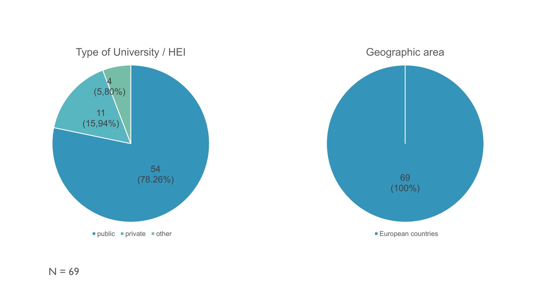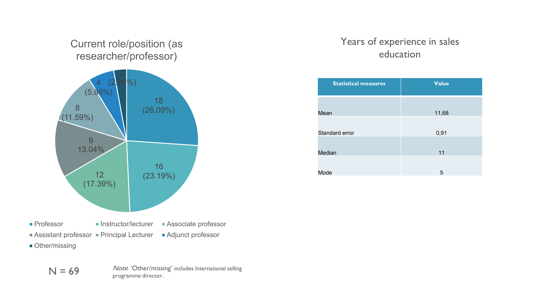#### Current role/position (as researcher/professor)



- **Other/missing** 
	- $N = 69$  Note: 'Other/missing' includes International selling programme director.

### Years of experience in sales education

| <b>Statistical measures</b> | <b>Value</b> |
|-----------------------------|--------------|
|                             |              |
| Mean                        | 11,68        |
|                             |              |
| Standard error              | 0,91         |
| Median                      | 11           |
|                             |              |
| Mode                        | 5            |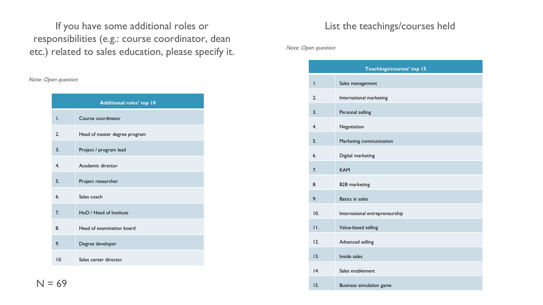If you have some additional roles or responsibilities (e.g.: course coordinator, dean etc.) related to sales education, please specify it.

Note: Open question

| <b>Additional roles' top 10</b> |                               |  |
|---------------------------------|-------------------------------|--|
| I.                              | Course coordinator            |  |
| 2.                              | Head of master degree program |  |
| 3.                              | Project / program lead        |  |
| 4.                              | Academic director             |  |
| 5.                              | Project researcher            |  |
| 6.                              | Sales coach                   |  |
| 7 <sub>1</sub>                  | HoD / Head of Institute       |  |
| 8.                              | Head of examination board     |  |
| 9.                              | Degree developer              |  |
| 10.                             | Sales center director         |  |

#### List the teachings/courses held

Note: Open question

| Teachings/courses' top 15 |                                |  |
|---------------------------|--------------------------------|--|
| I.                        | Sales management               |  |
| 2.                        | International marketing        |  |
| 3.                        | Personal selling               |  |
| 4.                        | Negotiation                    |  |
| 5.                        | Marketing communication        |  |
| 6.                        | Digital marketing              |  |
| 7 <sub>1</sub>            | <b>KAM</b>                     |  |
| 8.                        | <b>B2B</b> marketing           |  |
| 9.                        | <b>Basics in sales</b>         |  |
| 10.                       | International entrepreneurship |  |
| 11.                       | Value-based selling            |  |
| 12.                       | Advanced selling               |  |
| 13.                       | Inside sales                   |  |
| 4.                        | Sales enablement               |  |
| 15.                       | Business simulation game       |  |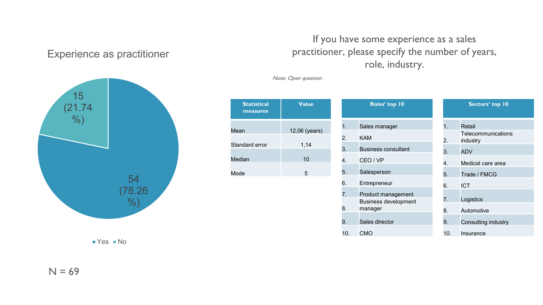#### Experience as practitioner



 $Yes$  No

## If you have some experience as a sales practitioner, please specify the number of years, role, industry.

Note: Open question

| 2. |
|----|
|    |
| 4. |
|    |
|    |

| Roles' top 10 |                                                   |     | Sectors' top 10                |  |
|---------------|---------------------------------------------------|-----|--------------------------------|--|
| 1.            | Sales manager                                     | 1.  | Retail                         |  |
| 2.            | <b>KAM</b>                                        | 2.  | Telecommunications<br>industry |  |
| 3.            | <b>Business consultant</b>                        | 3.  | <b>ADV</b>                     |  |
| 4.            | CEO / VP                                          | 4.  | Medical care area              |  |
| 5.            | Salesperson                                       | 5.  | Trade / FMCG                   |  |
| 6.            | Entrepreneur                                      | 6.  | <b>ICT</b>                     |  |
| 7.            | Product management<br><b>Business development</b> | 7.  | Logistics                      |  |
| 8.            | manager                                           | 8.  | Automotive                     |  |
| 9.            | Sales director                                    | 9.  | Consulting industry            |  |
| 10.           | <b>CMO</b>                                        | 10. | Insurance                      |  |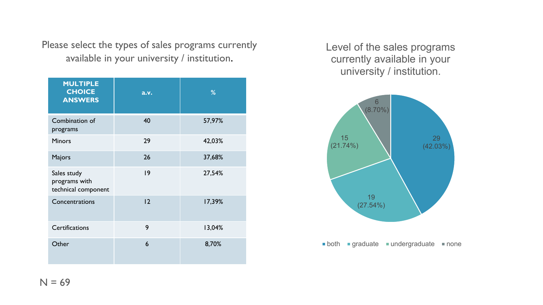Please select the types of sales programs currently available in your university / institution.

| <b>MULTIPLE</b><br><b>CHOICE</b><br><b>ANSWERS</b>  | a.v. | %      |
|-----------------------------------------------------|------|--------|
| Combination of<br>programs                          | 40   | 57,97% |
| <b>Minors</b>                                       | 29   | 42,03% |
| Majors                                              | 26   | 37,68% |
| Sales study<br>programs with<br>technical component | 9    | 27,54% |
| Concentrations                                      | 12   | 17,39% |
| <b>Certifications</b>                               | 9    | 13,04% |
| Other                                               | 6    | 8,70%  |

Level of the sales programs currently available in your university / institution.



**both graduate undergraduate none**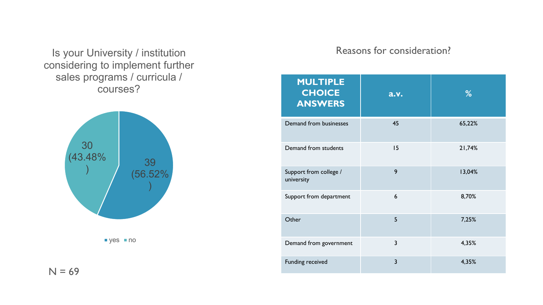Is your University / institution considering to implement further sales programs / curricula / courses?





 $N = 69$ 

#### Reasons for consideration?

| <b>MULTIPLE</b><br><b>CHOICE</b><br><b>ANSWERS</b> | a.v.           | %      |
|----------------------------------------------------|----------------|--------|
| Demand from businesses                             | 45             | 65,22% |
| Demand from students                               | 15             | 21,74% |
| Support from college /<br>university               | 9              | 13,04% |
| Support from department                            | 6              | 8,70%  |
| Other                                              | 5              | 7,25%  |
| Demand from government                             | 3              | 4,35%  |
| <b>Funding received</b>                            | $\overline{3}$ | 4,35%  |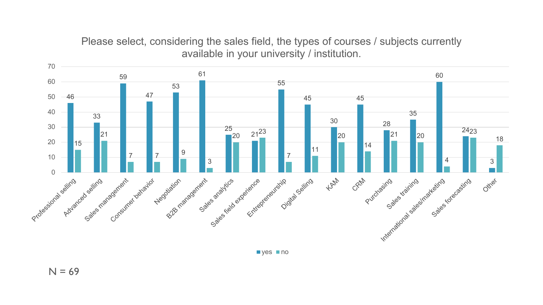Please select, considering the sales field, the types of courses / subjects currently available in your university / institution.

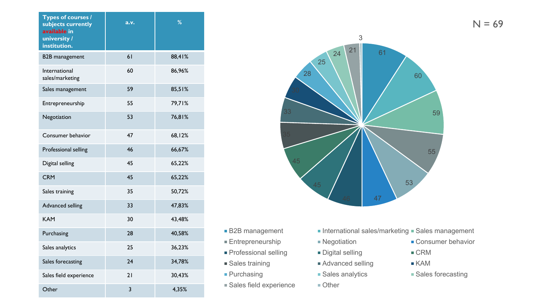| <b>Types of courses /</b><br>subjects currently<br>available in<br>university /<br>institution. | a.v. | %      |
|-------------------------------------------------------------------------------------------------|------|--------|
| <b>B2B</b> management                                                                           | 61   | 88,41% |
| International<br>sales/marketing                                                                | 60   | 86,96% |
| Sales management                                                                                | 59   | 85,51% |
| Entrepreneurship                                                                                | 55   | 79,71% |
| Negotiation                                                                                     | 53   | 76,81% |
| Consumer behavior                                                                               | 47   | 68,12% |
| Professional selling                                                                            | 46   | 66,67% |
| Digital selling                                                                                 | 45   | 65,22% |
| <b>CRM</b>                                                                                      | 45   | 65,22% |
| Sales training                                                                                  | 35   | 50,72% |
| Advanced selling                                                                                | 33   | 47,83% |
| <b>KAM</b>                                                                                      | 30   | 43,48% |
| Purchasing                                                                                      | 28   | 40,58% |
| Sales analytics                                                                                 | 25   | 36,23% |
| Sales forecasting                                                                               | 24   | 34,78% |
| Sales field experience                                                                          | 21   | 30,43% |
| Other                                                                                           | 3    | 4,35%  |



- 
- 
- Professional selling Digital selling CRM
- 
- 
- Sales field experience Other
- B2B management International sales/marketing Sales management
	-
	-
- Sales training Advanced selling KAM
	-
	-
- Entrepreneurship Negotiation Negotiation Consumer behavior
	-
	-
- Purchasing Bureasting Sales analytics Sales forecasting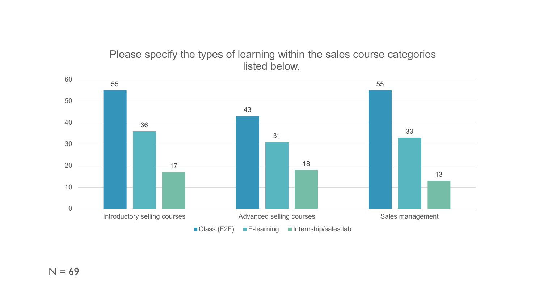#### Please specify the types of learning within the sales course categories listed below.

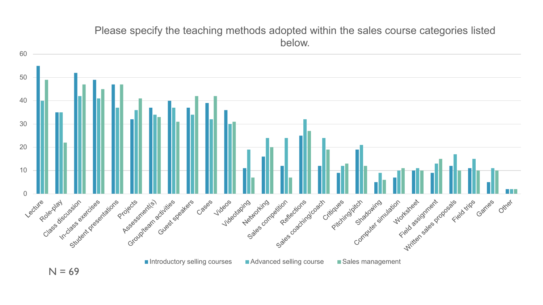#### Please specify the teaching methods adopted within the sales course categories listed below.

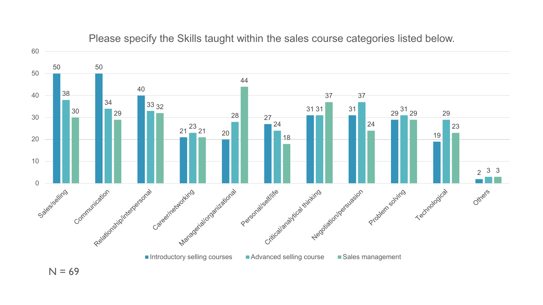

Please specify the Skills taught within the sales course categories listed below.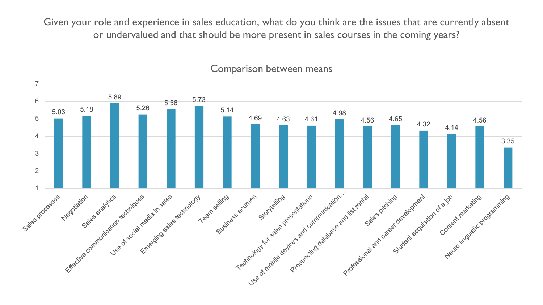Given your role and experience in sales education, what do you think are the issues that are currently absent or undervalued and that should be more present in sales courses in the coming years?



#### Comparison between means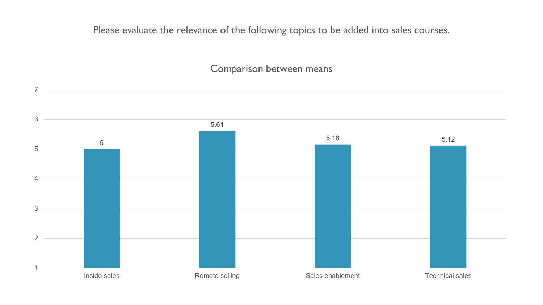Please evaluate the relevance of the following topics to be added into sales courses.

#### Comparison between means

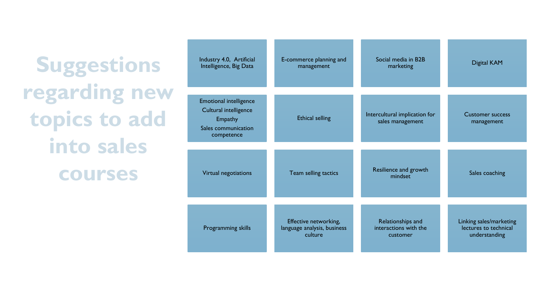**Suggestions regarding new topics to add into sales courses**

| Industry 4.0, Artificial                                                                               | E-commerce planning and     | Social media in B2B                               | <b>Digital KAM</b>                    |
|--------------------------------------------------------------------------------------------------------|-----------------------------|---------------------------------------------------|---------------------------------------|
| Intelligence, Big Data                                                                                 | management                  | marketing                                         |                                       |
| <b>Emotional intelligence</b><br>Cultural intelligence<br>Empathy<br>Sales communication<br>competence | <b>Ethical selling</b>      | Intercultural implication for<br>sales management | <b>Customer success</b><br>management |
| Virtual negotiations                                                                                   | Team selling tactics        | Resilience and growth<br>mindset                  | Sales coaching                        |
| Programming skills                                                                                     | Effective networking,       | Relationships and                                 | Linking sales/marketing               |
|                                                                                                        | language analysis, business | interactions with the                             | lectures to technical                 |
|                                                                                                        | culture                     | customer                                          | understanding                         |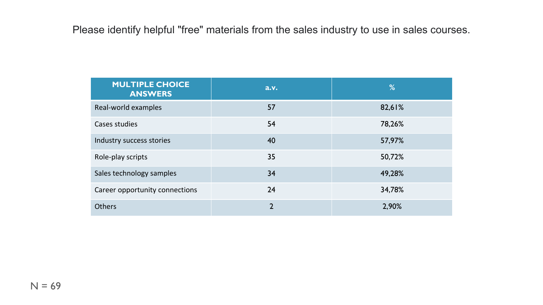Please identify helpful "free" materials from the sales industry to use in sales courses.

| <b>MULTIPLE CHOICE</b><br><b>ANSWERS</b> | a.v.          | %      |
|------------------------------------------|---------------|--------|
| Real-world examples                      | 57            | 82,61% |
| Cases studies                            | 54            | 78,26% |
| Industry success stories                 | 40            | 57,97% |
| Role-play scripts                        | 35            | 50,72% |
| Sales technology samples                 | 34            | 49,28% |
| Career opportunity connections           | 24            | 34,78% |
| <b>Others</b>                            | $\mathcal{P}$ | 2,90%  |